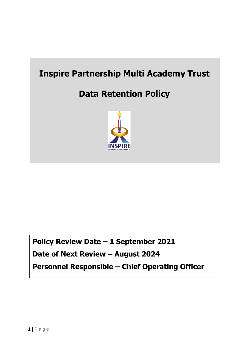

**Policy Review Date – 1 September 2021 Date of Next Review – August 2024 Personnel Responsible – Chief Operating Officer**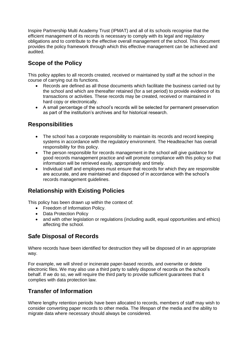Inspire Partnership Multi Academy Trust (IPMAT) and all of its schools recognise that the efficient management of its records is necessary to comply with its legal and regulatory obligations and to contribute to the effective overall management of the school. This document provides the policy framework through which this effective management can be achieved and audited.

# **Scope of the Policy**

This policy applies to all records created, received or maintained by staff at the school in the course of carrying out its functions.

- Records are defined as all those documents which facilitate the business carried out by the school and which are thereafter retained (for a set period) to provide evidence of its transactions or activities. These records may be created, received or maintained in hard copy or electronically.
- A small percentage of the school's records will be selected for permanent preservation as part of the institution's archives and for historical research.

### **Responsibilities**

- The school has a corporate responsibility to maintain its records and record keeping systems in accordance with the regulatory environment. The Headteacher has overall responsibility for this policy.
- The person responsible for records management in the school will give guidance for good records management practice and will promote compliance with this policy so that information will be retrieved easily, appropriately and timely.
- Individual staff and employees must ensure that records for which they are responsible are accurate, and are maintained and disposed of in accordance with the school's records management guidelines.

## **Relationship with Existing Policies**

This policy has been drawn up within the context of:

- Freedom of Information Policy.
- Data Protection Policy
- and with other legislation or regulations (including audit, equal opportunities and ethics) affecting the school.

## **Safe Disposal of Records**

Where records have been identified for destruction they will be disposed of in an appropriate way.

For example, we will shred or incinerate paper-based records, and overwrite or delete electronic files. We may also use a third party to safely dispose of records on the school's behalf. If we do so, we will require the third party to provide sufficient guarantees that it complies with data protection law.

## **Transfer of Information**

Where lengthy retention periods have been allocated to records, members of staff may wish to consider converting paper records to other media. The lifespan of the media and the ability to migrate data where necessary should always be considered.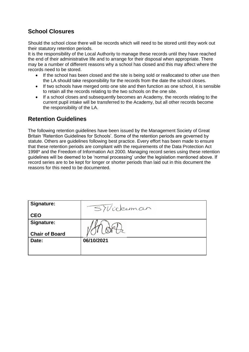# **School Closures**

Should the school close there will be records which will need to be stored until they work out their statutory retention periods.

It is the responsibility of the Local Authority to manage these records until they have reached the end of their administrative life and to arrange for their disposal when appropriate. There may be a number of different reasons why a school has closed and this may affect where the records need to be stored.

- If the school has been closed and the site is being sold or reallocated to other use then the LA should take responsibility for the records from the date the school closes.
- If two schools have merged onto one site and then function as one school, it is sensible to retain all the records relating to the two schools on the one site.
- If a school closes and subsequently becomes an Academy, the records relating to the current pupil intake will be transferred to the Academy, but all other records become the responsibility of the LA.

## **Retention Guidelines**

The following retention guidelines have been issued by the Management Society of Great Britain 'Retention Guidelines for Schools'. Some of the retention periods are governed by statute. Others are guidelines following best practice. Every effort has been made to ensure that these retention periods are compliant with the requirements of the Data Protection Act 1998\* and the Freedom of Information Act 2000. Managing record series using these retention guidelines will be deemed to be 'normal processing' under the legislation mentioned above. If record series are to be kept for longer or shorter periods than laid out in this document the reasons for this need to be documented.

| Signature:            | SiVickeman |
|-----------------------|------------|
| <b>CEO</b>            |            |
| Signature:            |            |
|                       |            |
| <b>Chair of Board</b> |            |
| Date:                 | 06/10/2021 |
|                       |            |
|                       |            |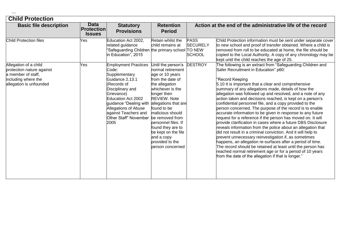|  | × | 2 | 2 |
|--|---|---|---|
|  |   |   |   |

| <b>Basic file description</b>                                                                                              | <b>Data</b><br><b>Protection</b><br><b>Issues</b> | <b>Statutory</b><br><b>Provisions</b>                                                                                                                                                                                                                                      | <b>Retention</b><br><b>Period</b>                                                                                                                                                                                                                                                                                                             |                                                 | Action at the end of the administrative life of the record                                                                                                                                                                                                                                                                                                                                                                                                                                                                                                                                                                                                                                                                                                                                                                                                                                                                                                                                                                                                                                                                   |
|----------------------------------------------------------------------------------------------------------------------------|---------------------------------------------------|----------------------------------------------------------------------------------------------------------------------------------------------------------------------------------------------------------------------------------------------------------------------------|-----------------------------------------------------------------------------------------------------------------------------------------------------------------------------------------------------------------------------------------------------------------------------------------------------------------------------------------------|-------------------------------------------------|------------------------------------------------------------------------------------------------------------------------------------------------------------------------------------------------------------------------------------------------------------------------------------------------------------------------------------------------------------------------------------------------------------------------------------------------------------------------------------------------------------------------------------------------------------------------------------------------------------------------------------------------------------------------------------------------------------------------------------------------------------------------------------------------------------------------------------------------------------------------------------------------------------------------------------------------------------------------------------------------------------------------------------------------------------------------------------------------------------------------------|
| Child Protection files                                                                                                     | Yes                                               | Education Act 2002,<br>related guidance<br>"Safeguarding Children the primary school TO NEW<br>in Education", 2015                                                                                                                                                         | Retain whilst the<br>child remains at                                                                                                                                                                                                                                                                                                         | <b>PASS</b><br><b>SECURELY</b><br><b>SCHOOL</b> | Child Protection information must be sent under separate cover<br>to new school and proof of transfer obtained. Where a child is<br>removed from roll to be educated at home, the file should be<br>copied to the Local Authority. A copy of any chronology may be<br>kept until the child reaches the age of 25.                                                                                                                                                                                                                                                                                                                                                                                                                                                                                                                                                                                                                                                                                                                                                                                                            |
| Allegation of a child<br>protection nature against<br>a member of staff,<br>including where the<br>allegation is unfounded | Yes                                               | <b>Employment Practices</b><br>Code:<br>Supplementary<br>Guidance 2.13.1<br>(Records of<br>Disciplinary and<br>Grievance)<br>Education Act 2002<br>guidance "Dealing with<br>Allegations of Abuse<br>against Teachers and<br>Other Staff" November be removed from<br>2005 | Until the person's<br>normal retirement<br>age or 10 years<br>from the date of<br>the allegation<br>whichever is the<br>longer then<br><b>REVIEW. Note</b><br>allegations that are<br>found to be<br>malicious should<br>personnel files. If<br>found they are to<br>be kept on the file<br>and a copy<br>provided to the<br>person concerned | <b>DESTROY</b>                                  | The following is an extract from "Safeguarding Children and<br>Safer Recruitment in Education" p60:<br>"Record Keeping<br>5.10 It is important that a clear and comprehensive<br>summary of any allegations made, details of how the<br>allegation was followed up and resolved, and a note of any<br>action taken and decisions reached, is kept on a person's<br>confidential personnel file, and a copy provided to the<br>person concerned. The purpose of the record is to enable<br>accurate information to be given in response to any future<br>request for a reference if the person has moved on. It will<br>provide clarification in cases where a future DBS Disclosure<br>reveals information from the police about an allegation that<br>did not result in a criminal conviction. And it will help to<br>prevent unnecessary reinvestigation if, as sometimes<br>happens, an allegation re-surfaces after a period of time.<br>The record should be retained at least until the person has<br>reached normal retirement age or for a period of 10 years<br>from the date of the allegation if that is longer." |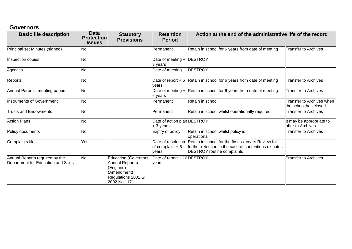| <b>Governors</b>                                                      |                                                   |                                                                                                                  |                                                  |                                                                                                                                                   |                                                           |  |
|-----------------------------------------------------------------------|---------------------------------------------------|------------------------------------------------------------------------------------------------------------------|--------------------------------------------------|---------------------------------------------------------------------------------------------------------------------------------------------------|-----------------------------------------------------------|--|
| <b>Basic file description</b>                                         | <b>Data</b><br><b>Protection</b><br><b>Issues</b> | <b>Statutory</b><br><b>Provisions</b>                                                                            | <b>Retention</b><br><b>Period</b>                | Action at the end of the administrative life of the record                                                                                        |                                                           |  |
| Principal set Minutes (signed)                                        | No                                                |                                                                                                                  | Permanent                                        | Retain in school for 6 years from date of meeting                                                                                                 | <b>Transfer to Archives</b>                               |  |
| Inspection copies                                                     | <b>No</b>                                         |                                                                                                                  | Date of meeting +<br>3 years                     | <b>DESTROY</b>                                                                                                                                    |                                                           |  |
| Agendas                                                               | No                                                |                                                                                                                  | Date of meeting                                  | <b>DESTROY</b>                                                                                                                                    |                                                           |  |
| Reports                                                               | <b>No</b>                                         |                                                                                                                  | Date of report $+6$<br>vears                     | Retain in school for 6 years from date of meeting                                                                                                 | <b>Transfer to Archives</b>                               |  |
| Annual Parents' meeting papers                                        | <b>No</b>                                         |                                                                                                                  | 6 years                                          | Date of meeting $+$ Retain in school for 6 years from date of meeting                                                                             | <b>Transfer to Archives</b>                               |  |
| Instruments of Government                                             | <b>No</b>                                         |                                                                                                                  | Permanent                                        | Retain in school                                                                                                                                  | <b>Transfer to Archives when</b><br>the school has closed |  |
| <b>Trusts and Endowments</b>                                          | <b>No</b>                                         |                                                                                                                  | Permanent                                        | Retain in school whilst operationally required                                                                                                    | Transfer to Archives                                      |  |
| <b>Action Plans</b>                                                   | <b>No</b>                                         |                                                                                                                  | Date of action plan DESTROY<br>+ 3 years         |                                                                                                                                                   | It may be appropriate to<br>offer to Archives             |  |
| Policy documents                                                      | No                                                |                                                                                                                  | Expiry of policy                                 | Retain in school whilst policy is<br>operational                                                                                                  | Transfer to Archives                                      |  |
| <b>Complaints files</b>                                               | Yes                                               |                                                                                                                  | Date of resolution<br>of complaint $+6$<br>vears | Retain in school for the first six years Review for<br>further retention in the case of contentious disputes<br><b>DESTROY</b> routine complaints |                                                           |  |
| Annual Reports required by the<br>Department for Education and Skills | <b>No</b>                                         | <b>Education (Governors'</b><br>Annual Reports)<br>England)<br>Amendment)<br>Regulations 2002.SI<br>2002 No 1171 | Date of report + 10 DESTROY<br>vears             |                                                                                                                                                   | <b>Transfer to Archives</b>                               |  |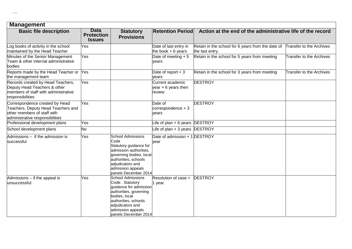| <b>Management</b>                                                                                                                      |                                                   |                                                                                                                                                                                                           |                                                    |                                                                      |                          |  |
|----------------------------------------------------------------------------------------------------------------------------------------|---------------------------------------------------|-----------------------------------------------------------------------------------------------------------------------------------------------------------------------------------------------------------|----------------------------------------------------|----------------------------------------------------------------------|--------------------------|--|
| <b>Basic file description</b>                                                                                                          | <b>Data</b><br><b>Protection</b><br><b>Issues</b> | <b>Statutory</b><br><b>Provisions</b>                                                                                                                                                                     | <b>Retention Period</b>                            | Action at the end of the administrative life of the record           |                          |  |
| Log books of activity in the school<br>maintained by the Head Teacher                                                                  | Yes                                               |                                                                                                                                                                                                           | Date of last entry in<br>the book $+6$ years       | Retain in the school for 6 years from the date of<br>the last entry. | Transfer to the Archives |  |
| Minutes of the Senior Management<br>Team & other internal administrative<br>bodies                                                     | Yes                                               |                                                                                                                                                                                                           | Date of meeting $+5$<br>years                      | Retain in the school for 5 years from meeting                        | Transfer to the Archives |  |
| Reports made by the Head Teacher or Yes<br>the management team                                                                         |                                                   |                                                                                                                                                                                                           | Date of report $+3$<br>vears                       | Retain in the school for 3 years from meeting                        | Transfer to the Archives |  |
| Records created by Head Teachers,<br>Deputy Head Teachers & other<br>members of staff with administrative<br>responsibilities          | Yes                                               |                                                                                                                                                                                                           | Current academic<br>year $+6$ years then<br>review | <b>DESTROY</b>                                                       |                          |  |
| Correspondence created by Head<br>Teachers, Deputy Head Teachers and<br>other members of staff with<br>administrative responsibilities | Yes                                               |                                                                                                                                                                                                           | Date of<br>correspondence $+3$<br>years            | <b>DESTROY</b>                                                       |                          |  |
| Professional development plans                                                                                                         | Yes                                               |                                                                                                                                                                                                           | Life of plan $+6$ years DESTROY                    |                                                                      |                          |  |
| School development plans                                                                                                               | No                                                |                                                                                                                                                                                                           | Life of plan + 3 years DESTROY                     |                                                                      |                          |  |
| Admissions - if the admission is<br>successful                                                                                         | Yes                                               | <b>School Admissions</b><br>Code<br>Statutory guidance for<br>admission authorities,<br>governing bodies, local<br>authorities, schools<br>adjudicators and<br>admission appeals<br>panels December 2014  | Date of admission + 1 DESTROY<br>vear              |                                                                      |                          |  |
| Admissions - if the appeal is<br>unsuccessful                                                                                          | Yes                                               | <b>School Admissions</b><br>Code. Statutory<br>quidance for admission<br>authorities, governing<br>bodies, local<br>authorities, schools<br>adjudicators and<br>admission appeals<br>panels December 2014 | Resolution of case +<br>1 year                     | <b>DESTROY</b>                                                       |                          |  |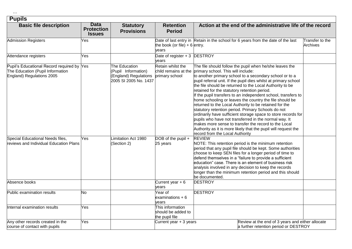### **Pupils**

| <b>Basic file description</b>                                                                               | <b>Data</b><br><b>Protection</b><br><b>Issues</b> | <b>Statutory</b><br><b>Provisions</b>                                                  | <b>Retention</b><br><b>Period</b>                           | Action at the end of the administrative life of the record                                                                                                                                                                                                                                                                                                                                                                                                                                                                                                                                                                                                                                                                                                                                                                                                                 |                             |  |
|-------------------------------------------------------------------------------------------------------------|---------------------------------------------------|----------------------------------------------------------------------------------------|-------------------------------------------------------------|----------------------------------------------------------------------------------------------------------------------------------------------------------------------------------------------------------------------------------------------------------------------------------------------------------------------------------------------------------------------------------------------------------------------------------------------------------------------------------------------------------------------------------------------------------------------------------------------------------------------------------------------------------------------------------------------------------------------------------------------------------------------------------------------------------------------------------------------------------------------------|-----------------------------|--|
| <b>Admission Registers</b>                                                                                  | Yes                                               |                                                                                        | the book (or file) + 6 entry.<br>years                      | Date of last entry in Retain in the school for 6 years from the date of the last                                                                                                                                                                                                                                                                                                                                                                                                                                                                                                                                                                                                                                                                                                                                                                                           | Transfer to the<br>Archives |  |
| Attendance registers                                                                                        | Yes                                               |                                                                                        | Date of register + 3 DESTROY<br>years                       |                                                                                                                                                                                                                                                                                                                                                                                                                                                                                                                                                                                                                                                                                                                                                                                                                                                                            |                             |  |
| Pupil's Educational Record required by Yes<br>The Education (Pupil Information<br>England) Regulations 2005 |                                                   | The Education<br>(Pupil Information)<br>(England) Regulations<br>2005 SI 2005 No. 1437 | Retain whilst the<br>child remains at the<br>primary school | The file should follow the pupil when he/she leaves the<br>primary school. This will include:<br>to another primary school to a secondary school or to a<br>pupil referral unit. If the pupil dies whilst at primary school<br>the file should be returned to the Local Authority to be<br>retained for the statutory retention period.<br>If the pupil transfers to an independent school, transfers to<br>home schooling or leaves the country the file should be<br>returned to the Local Authority to be retained for the<br>statutory retention period. Primary Schools do not<br>ordinarily have sufficient storage space to store records for<br>pupils who have not transferred in the normal way. It<br>makes more sense to transfer the record to the Local<br>Authority as it is more likely that the pupil will request the<br>record from the Local Authority |                             |  |
| Special Educational Needs files,<br>reviews and Individual Education Plans                                  | Yes                                               | Limitation Act 1980<br>(Section 2)                                                     | DOB of the pupil $+$<br>25 years                            | <b>REVIEW</b><br>NOTE: This retention period is the minimum retention<br>period that any pupil file should be kept. Some authorities<br>choose to keep SEN files for a longer period of time to<br>defend themselves in a "failure to provide a sufficient<br>education" case. There is an element of business risk<br>analysis involved in any decision to keep the records<br>longer than the minimum retention period and this should<br>be documented.                                                                                                                                                                                                                                                                                                                                                                                                                 |                             |  |
| Absence books                                                                                               |                                                   |                                                                                        | Current year $+6$<br>years                                  | <b>DESTROY</b>                                                                                                                                                                                                                                                                                                                                                                                                                                                                                                                                                                                                                                                                                                                                                                                                                                                             |                             |  |
| Public examination results                                                                                  | No                                                |                                                                                        | Year of<br>examinations $+6$<br>vears                       | <b>DESTROY</b>                                                                                                                                                                                                                                                                                                                                                                                                                                                                                                                                                                                                                                                                                                                                                                                                                                                             |                             |  |
| Internal examination results                                                                                | Yes                                               |                                                                                        | This information<br>should be added to<br>the pupil file    |                                                                                                                                                                                                                                                                                                                                                                                                                                                                                                                                                                                                                                                                                                                                                                                                                                                                            |                             |  |
| Any other records created in the<br>course of contact with pupils                                           | Yes                                               |                                                                                        | Current year + 3 years                                      | Review at the end of 3 years and either allocate<br>a further retention period or DESTROY                                                                                                                                                                                                                                                                                                                                                                                                                                                                                                                                                                                                                                                                                                                                                                                  |                             |  |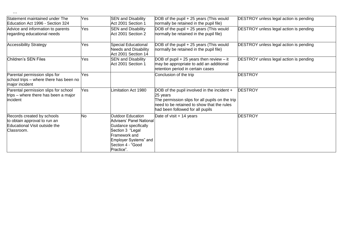| Statement maintained under The<br>Education Act 1996 - Section 324                                        | Yes       | <b>SEN and Disability</b><br>Act 2001 Section 1                                                                                                                                | DOB of the pupil + 25 years (This would<br>normally be retained in the pupil file)                                                                                                           | <b>DESTROY</b> unless legal action is pending |
|-----------------------------------------------------------------------------------------------------------|-----------|--------------------------------------------------------------------------------------------------------------------------------------------------------------------------------|----------------------------------------------------------------------------------------------------------------------------------------------------------------------------------------------|-----------------------------------------------|
| Advice and information to parents<br>regarding educational needs                                          | Yes       | <b>SEN and Disability</b><br>Act 2001 Section 2                                                                                                                                | DOB of the pupil + 25 years (This would<br>normally be retained in the pupil file)                                                                                                           | <b>DESTROY</b> unless legal action is pending |
| <b>Accessibility Strategy</b>                                                                             | Yes       | <b>Special Educational</b><br><b>Needs and Disability</b><br>Act 2001 Section 14                                                                                               | DOB of the pupil + 25 years (This would<br>normally be retained in the pupil file)                                                                                                           | <b>DESTROY</b> unless legal action is pending |
| Children's SEN Files                                                                                      | Yes       | <b>SEN and Disability</b><br>Act 2001 Section 1                                                                                                                                | DOB of pupil $+25$ years then review $-$ it<br>may be appropriate to add an additional<br>retention period in certain cases                                                                  | <b>DESTROY</b> unless legal action is pending |
| Parental permission slips for<br>school trips - where there has been no<br>major incident                 | Yes       |                                                                                                                                                                                | Conclusion of the trip                                                                                                                                                                       | <b>DESTROY</b>                                |
| Parental permission slips for school<br>trips – where there has been a major<br>incident                  | Yes       | imitation Act 1980                                                                                                                                                             | DOB of the pupil involved in the incident +<br>25 years<br>The permission slips for all pupils on the trip<br>need to be retained to show that the rules<br>had been followed for all pupils | <b>DESTROY</b>                                |
| Records created by schools<br>to obtain approval to run an<br>Educational Visit outside the<br>Classroom. | <b>No</b> | <b>Outdoor Education</b><br>Advisers' Panel National<br>Guidance specifically<br>Section 3 "Legal<br>Framework and<br>Employer Systems" and<br>Section 4 - "Good<br>Practice". | Date of visit + 14 years                                                                                                                                                                     | <b>DESTROY</b>                                |

 $\cdots$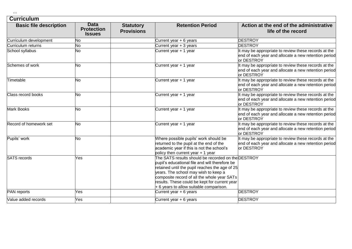| ×<br>× | × | × |  |
|--------|---|---|--|
|        |   |   |  |
|        |   |   |  |

#### **Curriculum**

| <b>Basic file description</b> | <b>Data</b><br><b>Protection</b><br><b>Issues</b> | <b>Statutory</b><br><b>Provisions</b> | <b>Retention Period</b>                                                                                                                                                                                                                                                                                                                   | Action at the end of the administrative<br>life of the record                                                              |
|-------------------------------|---------------------------------------------------|---------------------------------------|-------------------------------------------------------------------------------------------------------------------------------------------------------------------------------------------------------------------------------------------------------------------------------------------------------------------------------------------|----------------------------------------------------------------------------------------------------------------------------|
| Curriculum development        | No                                                |                                       | Current year + 6 years                                                                                                                                                                                                                                                                                                                    | <b>DESTROY</b>                                                                                                             |
| Curriculum returns            | No                                                |                                       | Current year + 3 years                                                                                                                                                                                                                                                                                                                    | <b>DESTROY</b>                                                                                                             |
| School syllabus               | No                                                |                                       | Current year + 1 year                                                                                                                                                                                                                                                                                                                     | It may be appropriate to review these records at the<br>end of each year and allocate a new retention period<br>or DESTROY |
| Schemes of work               | No                                                |                                       | Current year + 1 year                                                                                                                                                                                                                                                                                                                     | It may be appropriate to review these records at the<br>end of each year and allocate a new retention period<br>or DESTROY |
| Timetable                     | No                                                |                                       | Current year + 1 year                                                                                                                                                                                                                                                                                                                     | It may be appropriate to review these records at the<br>end of each year and allocate a new retention period<br>or DESTROY |
| Class record books            | No                                                |                                       | Current year + 1 year                                                                                                                                                                                                                                                                                                                     | It may be appropriate to review these records at the<br>end of each year and allocate a new retention period<br>or DESTROY |
| <b>Mark Books</b>             | No                                                |                                       | Current year + 1 year                                                                                                                                                                                                                                                                                                                     | It may be appropriate to review these records at the<br>end of each year and allocate a new retention period<br>or DESTROY |
| Record of homework set        | <b>No</b>                                         |                                       | Current year + 1 year                                                                                                                                                                                                                                                                                                                     | It may be appropriate to review these records at the<br>end of each year and allocate a new retention period<br>or DESTROY |
| Pupils' work                  | No                                                |                                       | Where possible pupils' work should be<br>returned to the pupil at the end of the<br>academic year if this is not the school's<br>policy then current year + 1 year                                                                                                                                                                        | It may be appropriate to review these records at the<br>end of each year and allocate a new retention period<br>or DESTROY |
| <b>SATS</b> records           | Yes                                               |                                       | The SATS results should be recorded on the DESTROY<br>pupil's educational file and will therefore be<br>retained until the pupil reaches the age of 25<br>years. The school may wish to keep a<br>composite record of all the whole year SATs<br>results. These could be kept for current year<br>+ 6 years to allow suitable comparison. |                                                                                                                            |
| PAN reports                   | Yes                                               |                                       | Current year + 6 years                                                                                                                                                                                                                                                                                                                    | <b>DESTROY</b>                                                                                                             |
| Value added records           | Yes                                               |                                       | Current year $+6$ years                                                                                                                                                                                                                                                                                                                   | <b>DESTROY</b>                                                                                                             |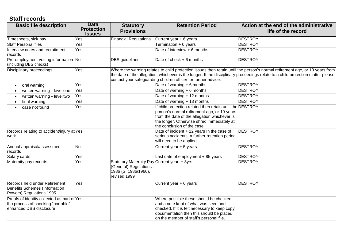### **Staff records**

| <b>Basic file description</b>                                                                                | <b>Data</b><br><b>Protection</b><br><b>Issues</b> | <b>Statutory</b><br><b>Provisions</b>                                                                         | <b>Retention Period</b>                                                                                                                                                                                                              | Action at the end of the administrative<br>life of the record                                                                                                                                                                                                  |
|--------------------------------------------------------------------------------------------------------------|---------------------------------------------------|---------------------------------------------------------------------------------------------------------------|--------------------------------------------------------------------------------------------------------------------------------------------------------------------------------------------------------------------------------------|----------------------------------------------------------------------------------------------------------------------------------------------------------------------------------------------------------------------------------------------------------------|
| Timesheets, sick pay                                                                                         | Yes                                               | <b>Financial Regulations</b>                                                                                  | Current year + 6 years                                                                                                                                                                                                               | <b>DESTROY</b>                                                                                                                                                                                                                                                 |
| <b>Staff Personal files</b>                                                                                  | Yes                                               |                                                                                                               | Termination + 6 years                                                                                                                                                                                                                | <b>DESTROY</b>                                                                                                                                                                                                                                                 |
| Interview notes and recruitment<br>records                                                                   | Yes                                               |                                                                                                               | Date of interview + 6 months                                                                                                                                                                                                         | <b>DESTROY</b>                                                                                                                                                                                                                                                 |
| Pre-employment vetting information No<br>(including DBS checks)                                              |                                                   | <b>DBS</b> guidelines                                                                                         | Date of check + 6 months                                                                                                                                                                                                             | <b>DESTROY</b>                                                                                                                                                                                                                                                 |
| Disciplinary proceedings:                                                                                    | Yes                                               |                                                                                                               | contact your safeguarding children officer for further advice.                                                                                                                                                                       | Where the warning relates to child protection issues then retain until the person's normal retirement age, or 10 years from<br>the date of the allegation, whichever is the longer. If the disciplinary proceedings relate to a child protection matter please |
| oral warning<br>$\bullet$                                                                                    | Yes                                               |                                                                                                               | Date of warning $+6$ months                                                                                                                                                                                                          | <b>DESTROY</b>                                                                                                                                                                                                                                                 |
| written warning - level one                                                                                  | Yes                                               |                                                                                                               | Date of warning $+6$ months                                                                                                                                                                                                          | <b>DESTROY</b>                                                                                                                                                                                                                                                 |
| written warning - level two                                                                                  | Yes                                               |                                                                                                               | Date of warning + 12 months                                                                                                                                                                                                          | <b>DESTROY</b>                                                                                                                                                                                                                                                 |
| final warning<br>$\bullet$                                                                                   | Yes                                               |                                                                                                               | Date of warning + 18 months                                                                                                                                                                                                          | <b>DESTROY</b>                                                                                                                                                                                                                                                 |
| case not found                                                                                               | Yes                                               |                                                                                                               | If child protection related then retain until the DESTROY<br>person's normal retirement age, or 10 years<br>from the date of the allegation whichever is<br>the longer. Otherwise shred immediately at<br>the conclusion of the case |                                                                                                                                                                                                                                                                |
| Records relating to accident/injury at Yes<br>work                                                           |                                                   |                                                                                                               | Date of incident + 12 years In the case of<br>serious accidents, a further retention period<br>will need to be applied                                                                                                               | <b>DESTROY</b>                                                                                                                                                                                                                                                 |
| Annual appraisal/assessment<br>records                                                                       | No                                                |                                                                                                               | Current year + 5 years                                                                                                                                                                                                               | <b>DESTROY</b>                                                                                                                                                                                                                                                 |
| Salary cards                                                                                                 | Yes                                               |                                                                                                               | Last date of employment + 85 years                                                                                                                                                                                                   | <b>DESTROY</b>                                                                                                                                                                                                                                                 |
| Maternity pay records                                                                                        | Yes                                               | Statutory Maternity Pay Current year, + 3yrs<br>(General) Regulations<br>1986 (SI 1986/1960),<br>revised 1999 |                                                                                                                                                                                                                                      | <b>DESTROY</b>                                                                                                                                                                                                                                                 |
| Records held under Retirement<br>Benefits Schemes (Information<br>Powers) Regulations 1995                   | Yes                                               |                                                                                                               | Current year + 6 years                                                                                                                                                                                                               | <b>DESTROY</b>                                                                                                                                                                                                                                                 |
| Proofs of identity collected as part of Yes<br>the process of checking "portable"<br>enhanced DBS disclosure |                                                   |                                                                                                               | Where possible these should be checked<br>and a note kept of what was seen and<br>checked. If it is felt necessary to keep copy<br>documentation then this should be placed<br>on the member of staff's personal file.               |                                                                                                                                                                                                                                                                |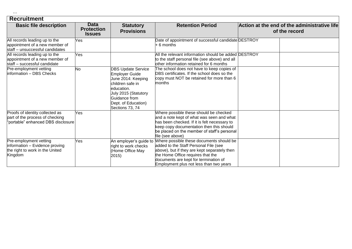| × | × | × |
|---|---|---|
|   |   |   |
|   |   |   |

### **Recruitment**

| <b>Basic file description</b>                                                                            | <b>Data</b><br><b>Protection</b><br><b>Issues</b> | <b>Statutory</b><br><b>Provisions</b>                                                                                                                                                         | <b>Retention Period</b>                                                                                                                                                                                                                                    | Action at the end of the administrative life<br>of the record |  |  |
|----------------------------------------------------------------------------------------------------------|---------------------------------------------------|-----------------------------------------------------------------------------------------------------------------------------------------------------------------------------------------------|------------------------------------------------------------------------------------------------------------------------------------------------------------------------------------------------------------------------------------------------------------|---------------------------------------------------------------|--|--|
| All records leading up to the<br>appointment of a new member of<br>staff - unsuccessful candidates       | Yes                                               |                                                                                                                                                                                               | Date of appointment of successful candidate DESTROY<br>$+6$ months                                                                                                                                                                                         |                                                               |  |  |
| All records leading up to the<br>appointment of a new member of<br>staff - successful candidate          | Yes                                               |                                                                                                                                                                                               | All the relevant information should be added DESTROY<br>to the staff personal file (see above) and all<br>other information retained for 6 months                                                                                                          |                                                               |  |  |
| Pre-employment vetting<br>information - DBS Checks                                                       | No                                                | <b>DBS Update Service</b><br><b>Employer Guide</b><br>June 2014: Keeping<br>children safe in<br>education.<br>July 2015 (Statutory<br>Guidance from<br>Dept. of Education)<br>Sections 73, 74 | The school does not have to keep copies of<br>DBS certificates. If the school does so the<br>copy must NOT be retained for more than 6<br>months                                                                                                           |                                                               |  |  |
| Proofs of identity collected as<br>part of the process of checking<br>"portable" enhanced DBS disclosure | Yes                                               |                                                                                                                                                                                               | Where possible these should be checked<br>and a note kept of what was seen and what<br>has been checked. If it is felt necessary to<br>keep copy documentation then this should<br>be placed on the member of staff's personal<br>file (see above)         |                                                               |  |  |
| Pre-employment vetting<br>information - Evidence proving<br>the right to work in the United<br>Kingdom   | Yes                                               | An employer's guide to<br>right to work checks<br>(Home Office May<br>2015                                                                                                                    | Where possible these documents should be<br>added to the Staff Personal File (see<br>above), but if they are kept separately then<br>the Home Office requires that the<br>documents are kept for termination of<br>Employment plus not less than two years |                                                               |  |  |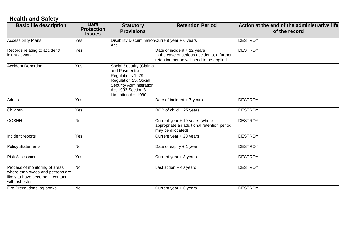| 2 | × | - 3 |
|---|---|-----|
|   |   |     |

| <b>Health and Safety</b>                                                                                               |                                                   |                                                                                                                                                                |                                                                                                                        |                                                               |  |  |
|------------------------------------------------------------------------------------------------------------------------|---------------------------------------------------|----------------------------------------------------------------------------------------------------------------------------------------------------------------|------------------------------------------------------------------------------------------------------------------------|---------------------------------------------------------------|--|--|
| <b>Basic file description</b>                                                                                          | <b>Data</b><br><b>Protection</b><br><b>Issues</b> | <b>Statutory</b><br><b>Provisions</b>                                                                                                                          | <b>Retention Period</b>                                                                                                | Action at the end of the administrative life<br>of the record |  |  |
| <b>Accessibility Plans</b>                                                                                             | Yes                                               | Disability Discrimination Current year + 6 years<br>Act                                                                                                        |                                                                                                                        | <b>DESTROY</b>                                                |  |  |
| Records relating to accident/<br>injury at work                                                                        | Yes                                               |                                                                                                                                                                | Date of incident + 12 years<br>In the case of serious accidents, a further<br>retention period will need to be applied | <b>DESTROY</b>                                                |  |  |
| <b>Accident Reporting</b>                                                                                              | Yes                                               | Social Security (Claims<br>and Payments)<br>Regulations 1979<br>Regulation 25. Social<br>Security Administration<br>Act 1992 Section 8.<br>Limitation Act 1980 |                                                                                                                        |                                                               |  |  |
| <b>Adults</b>                                                                                                          | Yes                                               |                                                                                                                                                                | Date of incident + 7 years                                                                                             | <b>DESTROY</b>                                                |  |  |
| Children                                                                                                               | Yes                                               |                                                                                                                                                                | DOB of child + 25 years                                                                                                | <b>DESTROY</b>                                                |  |  |
| <b>COSHH</b>                                                                                                           | No                                                |                                                                                                                                                                | Current year + 10 years (where<br>appropriate an additional retention period<br>may be allocated)                      | <b>DESTROY</b>                                                |  |  |
| Incident reports                                                                                                       | Yes                                               |                                                                                                                                                                | Current year + 20 years                                                                                                | <b>DESTROY</b>                                                |  |  |
| <b>Policy Statements</b>                                                                                               | No                                                |                                                                                                                                                                | Date of expiry $+1$ year                                                                                               | <b>DESTROY</b>                                                |  |  |
| <b>Risk Assessments</b>                                                                                                | Yes                                               |                                                                                                                                                                | Current year + 3 years                                                                                                 | <b>DESTROY</b>                                                |  |  |
| Process of monitoring of areas<br>where employees and persons are<br>likely to have become in contact<br>with asbestos | No                                                |                                                                                                                                                                | ast action + 40 years                                                                                                  | <b>DESTROY</b>                                                |  |  |
| Fire Precautions log books                                                                                             | No                                                |                                                                                                                                                                | Current year + 6 years                                                                                                 | <b>DESTROY</b>                                                |  |  |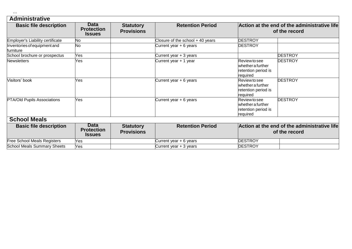| 2 | 2 | 2 |
|---|---|---|
|   |   |   |

### **Administrative**

| <b>Basic file description</b>             | <b>Data</b><br><b>Protection</b><br><b>Issues</b> | <b>Statutory</b><br><b>Provisions</b> | <b>Retention Period</b>          |                                                                              | Action at the end of the administrative life<br>of the record |
|-------------------------------------------|---------------------------------------------------|---------------------------------------|----------------------------------|------------------------------------------------------------------------------|---------------------------------------------------------------|
| Employer's Liability certificate          | No                                                |                                       | Closure of the school + 40 years | <b>DESTROY</b>                                                               |                                                               |
| Inventories of equipment and<br>furniture | No                                                |                                       | Current year + 6 years           | <b>DESTROY</b>                                                               |                                                               |
| School brochure or prospectus             | Yes                                               |                                       | Current year + 3 years           |                                                                              | <b>DESTROY</b>                                                |
| <b>Newsletters</b>                        | Yes                                               |                                       | Current year + 1 year            | Review to see<br>whether a further<br>retention period is<br>required        | <b>DESTROY</b>                                                |
| Visitors' book                            | Yes                                               |                                       | Current year + 6 years           | Review to see<br>whether a further<br>retention period is<br>required        | <b>DESTROY</b>                                                |
| PTA/Old Pupils Associations               | Yes                                               |                                       | Current year + 6 years           | <b>Review to see</b><br>whether a further<br>retention period is<br>required | <b>DESTROY</b>                                                |
| <b>School Meals</b>                       |                                                   |                                       |                                  |                                                                              |                                                               |
| <b>Basic file description</b>             | <b>Data</b><br><b>Protection</b><br><b>Issues</b> | <b>Statutory</b><br><b>Provisions</b> | <b>Retention Period</b>          |                                                                              | Action at the end of the administrative life<br>of the record |
| <b>Free School Meals Registers</b>        | Yes                                               |                                       | Current year + 6 years           | <b>DESTROY</b>                                                               |                                                               |
| <b>School Meals Summary Sheets</b>        | Yes                                               |                                       | Current year + 3 years           | <b>DESTROY</b>                                                               |                                                               |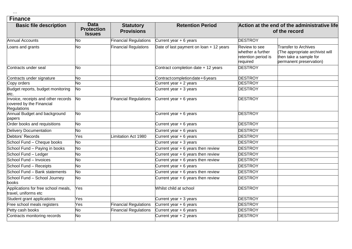#### **Finance**

| <b>Basic file description</b>                                                  | <b>Data</b><br><b>Protection</b> | <b>Statutory</b>             | <b>Retention Period</b>                 |                                                                       | Action at the end of the administrative life                                                                        |
|--------------------------------------------------------------------------------|----------------------------------|------------------------------|-----------------------------------------|-----------------------------------------------------------------------|---------------------------------------------------------------------------------------------------------------------|
|                                                                                | <b>Issues</b>                    | <b>Provisions</b>            |                                         |                                                                       | of the record                                                                                                       |
| <b>Annual Accounts</b>                                                         | No                               | <b>Financial Regulations</b> | Current year + 6 years                  | <b>DESTROY</b>                                                        |                                                                                                                     |
| Loans and grants                                                               | No                               | <b>Financial Regulations</b> | Date of last payment on loan + 12 years | Review to see<br>whether a further<br>retention period is<br>required | <b>Transfer to Archives</b><br>(The appropriate archivist will<br>then take a sample for<br>permanent preservation) |
| Contracts under seal                                                           | <b>No</b>                        |                              | Contract completion date + 12 years     | <b>DESTROY</b>                                                        |                                                                                                                     |
| Contracts under signature                                                      | <b>No</b>                        |                              | Contract completion date + 6 years      | <b>DESTROY</b>                                                        |                                                                                                                     |
| Copy orders                                                                    | No                               |                              | Current year + 2 years                  | <b>DESTROY</b>                                                        |                                                                                                                     |
| Budget reports, budget monitoring<br>etc.                                      | <b>No</b>                        |                              | Current year $+3$ years                 | <b>DESTROY</b>                                                        |                                                                                                                     |
| Invoice, receipts and other records<br>covered by the Financial<br>Regulations | <b>No</b>                        | <b>Financial Regulations</b> | Current year $+6$ years                 | <b>DESTROY</b>                                                        |                                                                                                                     |
| Annual Budget and background<br>papers                                         | <b>No</b>                        |                              | Current year + 6 years                  | <b>DESTROY</b>                                                        |                                                                                                                     |
| Order books and requisitions                                                   | <b>No</b>                        |                              | Current year + 6 years                  | <b>DESTROY</b>                                                        |                                                                                                                     |
| <b>Delivery Documentation</b>                                                  | No                               |                              | Current year + 6 years                  | <b>DESTROY</b>                                                        |                                                                                                                     |
| Debtors' Records                                                               | Yes                              | Limitation Act 1980          | Current year + 6 years                  | <b>DESTROY</b>                                                        |                                                                                                                     |
| School Fund - Cheque books                                                     | No                               |                              | Current year $+3$ years                 | <b>DESTROY</b>                                                        |                                                                                                                     |
| School Fund - Paying in books                                                  | No                               |                              | Current year + 6 years then review      | <b>DESTROY</b>                                                        |                                                                                                                     |
| School Fund - Ledger                                                           | No                               |                              | Current year + 6 years then review      | <b>DESTROY</b>                                                        |                                                                                                                     |
| School Fund - Invoices                                                         | No                               |                              | Current year $+ 6$ years then review    | <b>DESTROY</b>                                                        |                                                                                                                     |
| School Fund - Receipts                                                         | <b>No</b>                        |                              | Current year + 6 years                  | <b>DESTROY</b>                                                        |                                                                                                                     |
| School Fund - Bank statements                                                  | No                               |                              | Current year + 6 years then review      | <b>DESTROY</b>                                                        |                                                                                                                     |
| School Fund - School Journey<br>books                                          | <b>No</b>                        |                              | Current year + 6 years then review      | <b>DESTROY</b>                                                        |                                                                                                                     |
| Applications for free school meals,<br>travel, uniforms etc                    | Yes                              |                              | Whilst child at school                  | <b>DESTROY</b>                                                        |                                                                                                                     |
| Student grant applications                                                     | Yes                              |                              | Current year + 3 years                  | <b>DESTROY</b>                                                        |                                                                                                                     |
| Free school meals registers                                                    | Yes                              | <b>Financial Regulations</b> | Current year + 6 years                  | <b>DESTROY</b>                                                        |                                                                                                                     |
| Petty cash books                                                               | No                               | <b>Financial Regulations</b> | Current year + 6 years                  | <b>DESTROY</b>                                                        |                                                                                                                     |
| Contracts monitoring records                                                   | No                               |                              | Current year $+2$ years                 | <b>DESTROY</b>                                                        |                                                                                                                     |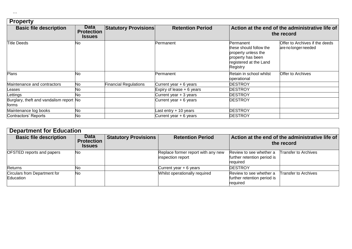| <b>Property</b>                                  |                                                   |                              |                             |                                                                                                                        |                                                               |
|--------------------------------------------------|---------------------------------------------------|------------------------------|-----------------------------|------------------------------------------------------------------------------------------------------------------------|---------------------------------------------------------------|
| <b>Basic file description</b>                    | <b>Data</b><br><b>Protection</b><br><b>Issues</b> | <b>Statutory Provisions</b>  | <b>Retention Period</b>     |                                                                                                                        | Action at the end of the administrative life of<br>the record |
| <b>Title Deeds</b>                               | No                                                |                              | Permanent                   | Permanent<br>these should follow the<br>property unless the<br>property has been<br>registered at the Land<br>Registry | Offer to Archives if the deeds<br>are no longer needed        |
| Plans                                            | No                                                |                              | Permanent                   | Retain in school whilst<br>operational                                                                                 | Offer to Archives                                             |
| Maintenance and contractors                      | No                                                | <b>Financial Regulations</b> | Current year + 6 years      | <b>DESTROY</b>                                                                                                         |                                                               |
| Leases                                           | No                                                |                              | Expiry of lease $+ 6$ years | <b>DESTROY</b>                                                                                                         |                                                               |
| Lettings                                         | No.                                               |                              | Current year + 3 years      | <b>DESTROY</b>                                                                                                         |                                                               |
| Burglary, theft and vandalism report No<br>forms |                                                   |                              | Current year $+6$ years     | <b>DESTROY</b>                                                                                                         |                                                               |
| Maintenance log books                            | No                                                |                              | Last entry $+10$ years      | <b>DESTROY</b>                                                                                                         |                                                               |
| Contractors' Reports                             | No                                                |                              | Current year $+6$ years     | <b>DESTROY</b>                                                                                                         |                                                               |

| <b>Department for Education</b>            |                                            |                             |                                                         |                                                                    |                                                               |  |
|--------------------------------------------|--------------------------------------------|-----------------------------|---------------------------------------------------------|--------------------------------------------------------------------|---------------------------------------------------------------|--|
| <b>Basic file description</b>              | <b>Data</b><br>Protection<br><b>Issues</b> | <b>Statutory Provisions</b> | <b>Retention Period</b>                                 |                                                                    | Action at the end of the administrative life of<br>the record |  |
| OFSTED reports and papers                  | No.                                        |                             | Replace former report with any new<br>inspection report | Review to see whether a<br>further retention period is<br>required | <b>Transfer to Archives</b>                                   |  |
| Returns                                    | <b>NO</b>                                  |                             | Current year + 6 years                                  | <b>DESTROY</b>                                                     |                                                               |  |
| Circulars from Department for<br>Education | No.                                        |                             | Whilst operationally required                           | Review to see whether a<br>further retention period is<br>required | <b>Transfer to Archives</b>                                   |  |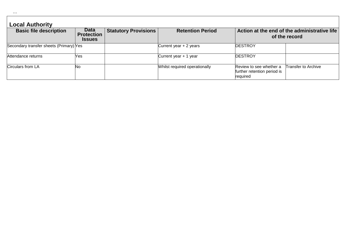| 2 | 2 | P. |  |
|---|---|----|--|
|   |   |    |  |
|   |   |    |  |

## **Local Authority**

| <b>Basic file description</b>           | Data<br>Protection<br><b>Issues</b> | <b>Statutory Provisions</b> | <b>Retention Period</b>       |                                                                    | $\mid$ Action at the end of the administrative life<br>of the record |
|-----------------------------------------|-------------------------------------|-----------------------------|-------------------------------|--------------------------------------------------------------------|----------------------------------------------------------------------|
| Secondary transfer sheets (Primary) Yes |                                     |                             | Current year $+2$ years       | <b>DESTROY</b>                                                     |                                                                      |
| Attendance returns                      | Yes.                                |                             | Current year + 1 year         | <b>DESTROY</b>                                                     |                                                                      |
| Circulars from LA                       | No                                  |                             | Whilst required operationally | Review to see whether a<br>further retention period is<br>required | Transfer to Archive                                                  |